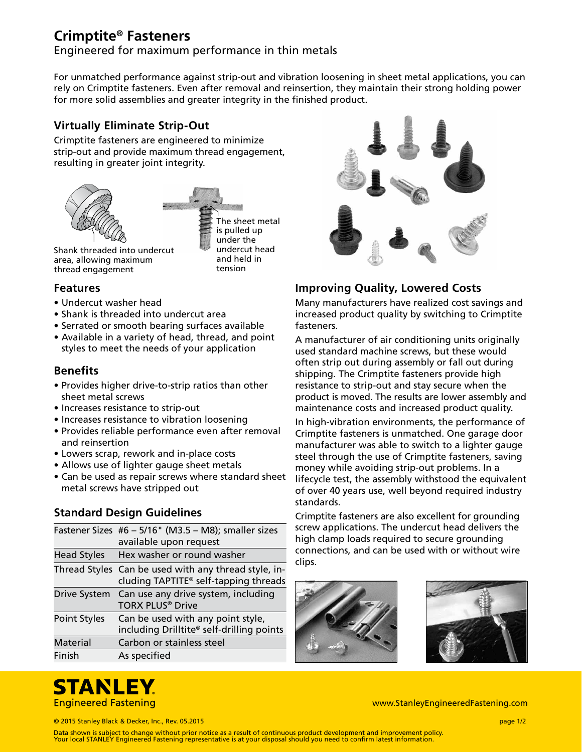# **Crimptite® Fasteners**

Engineered for maximum performance in thin metals

For unmatched performance against strip-out and vibration loosening in sheet metal applications, you can rely on Crimptite fasteners. Even after removal and reinsertion, they maintain their strong holding power for more solid assemblies and greater integrity in the finished product.

# **Virtually Eliminate Strip-Out**

Crimptite fasteners are engineered to minimize strip-out and provide maximum thread engagement, resulting in greater joint integrity.



The sheet metal is pulled up under the undercut head and held in tension

# **Features**

• Undercut washer head

area, allowing maximum thread engagement

- Shank is threaded into undercut area
- Serrated or smooth bearing surfaces available
- Available in a variety of head, thread, and point styles to meet the needs of your application

### **Benefits**

- Provides higher drive-to-strip ratios than other sheet metal screws
- Increases resistance to strip-out
- Increases resistance to vibration loosening
- Provides reliable performance even after removal and reinsertion
- Lowers scrap, rework and in-place costs
- Allows use of lighter gauge sheet metals
- Can be used as repair screws where standard sheet metal screws have stripped out

### **Standard Design Guidelines**

|                     | Fastener Sizes #6 - 5/16" (M3.5 - M8); smaller sizes<br>available upon request                            |
|---------------------|-----------------------------------------------------------------------------------------------------------|
| Head Styles         | Hex washer or round washer                                                                                |
|                     | Thread Styles Can be used with any thread style, in-<br>cluding TAPTITE <sup>®</sup> self-tapping threads |
|                     | Drive System Can use any drive system, including<br><b>TORX PLUS® Drive</b>                               |
| <b>Point Styles</b> | Can be used with any point style,<br>including Drilltite® self-drilling points                            |
| <b>Material</b>     | Carbon or stainless steel                                                                                 |
| Finish              | As specified                                                                                              |



# **Improving Quality, Lowered Costs**

Many manufacturers have realized cost savings and increased product quality by switching to Crimptite fasteners.

A manufacturer of air conditioning units originally used standard machine screws, but these would often strip out during assembly or fall out during shipping. The Crimptite fasteners provide high resistance to strip-out and stay secure when the product is moved. The results are lower assembly and maintenance costs and increased product quality.

In high-vibration environments, the performance of Crimptite fasteners is unmatched. One garage door manufacturer was able to switch to a lighter gauge steel through the use of Crimptite fasteners, saving money while avoiding strip-out problems. In a lifecycle test, the assembly withstood the equivalent of over 40 years use, well beyond required industry standards.

Crimptite fasteners are also excellent for grounding screw applications. The undercut head delivers the high clamp loads required to secure grounding connections, and can be used with or without wire clips.





# **STANLEY Engineered Fastening**

www.StanleyEngineeredFastening.com

© 2015 Stanley Black & Decker, Inc., Rev. 05.2015 page 1/2

Data shown is subject to change without prior notice as a result of continuous product development and improvement policy. Your local STANLEY Engineered Fastening representative is at your disposal should you need to confirm latest information.